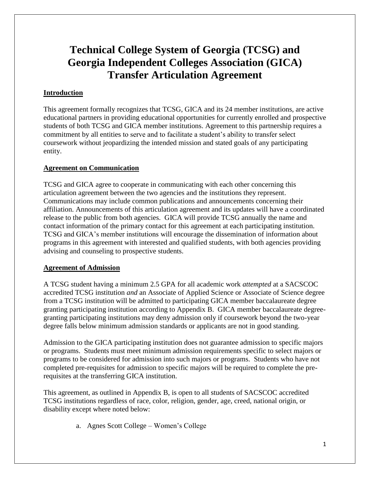# **Technical College System of Georgia (TCSG) and Georgia Independent Colleges Association (GICA) Transfer Articulation Agreement**

### **Introduction**

This agreement formally recognizes that TCSG, GICA and its 24 member institutions, are active educational partners in providing educational opportunities for currently enrolled and prospective students of both TCSG and GICA member institutions. Agreement to this partnership requires a commitment by all entities to serve and to facilitate a student's ability to transfer select coursework without jeopardizing the intended mission and stated goals of any participating entity.

#### **Agreement on Communication**

TCSG and GICA agree to cooperate in communicating with each other concerning this articulation agreement between the two agencies and the institutions they represent. Communications may include common publications and announcements concerning their affiliation. Announcements of this articulation agreement and its updates will have a coordinated release to the public from both agencies. GICA will provide TCSG annually the name and contact information of the primary contact for this agreement at each participating institution. TCSG and GICA's member institutions will encourage the dissemination of information about programs in this agreement with interested and qualified students, with both agencies providing advising and counseling to prospective students.

#### **Agreement of Admission**

A TCSG student having a minimum 2.5 GPA for all academic work *attempted* at a SACSCOC accredited TCSG institution *and* an Associate of Applied Science or Associate of Science degree from a TCSG institution will be admitted to participating GICA member baccalaureate degree granting participating institution according to Appendix B. GICA member baccalaureate degreegranting participating institutions may deny admission only if coursework beyond the two-year degree falls below minimum admission standards or applicants are not in good standing.

Admission to the GICA participating institution does not guarantee admission to specific majors or programs. Students must meet minimum admission requirements specific to select majors or programs to be considered for admission into such majors or programs. Students who have not completed pre-requisites for admission to specific majors will be required to complete the prerequisites at the transferring GICA institution.

This agreement, as outlined in Appendix B, is open to all students of SACSCOC accredited TCSG institutions regardless of race, color, religion, gender, age, creed, national origin, or disability except where noted below:

a. Agnes Scott College – Women's College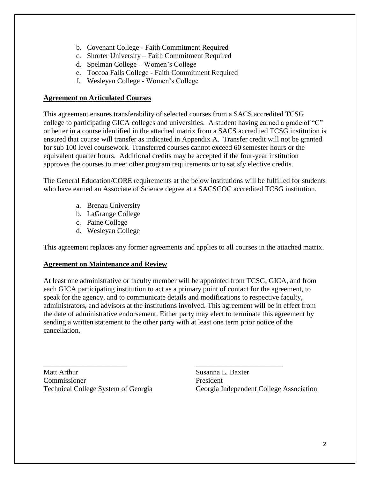- b. Covenant College Faith Commitment Required
- c. Shorter University Faith Commitment Required
- d. Spelman College Women's College
- e. Toccoa Falls College Faith Commitment Required
- f. Wesleyan College Women's College

#### **Agreement on Articulated Courses**

This agreement ensures transferability of selected courses from a SACS accredited TCSG college to participating GICA colleges and universities. A student having earned a grade of "C" or better in a course identified in the attached matrix from a SACS accredited TCSG institution is ensured that course will transfer as indicated in Appendix A. Transfer credit will not be granted for sub 100 level coursework. Transferred courses cannot exceed 60 semester hours or the equivalent quarter hours. Additional credits may be accepted if the four-year institution approves the courses to meet other program requirements or to satisfy elective credits.

The General Education/CORE requirements at the below institutions will be fulfilled for students who have earned an Associate of Science degree at a SACSCOC accredited TCSG institution.

- a. Brenau University
- b. LaGrange College
- c. Paine College
- d. Wesleyan College

This agreement replaces any former agreements and applies to all courses in the attached matrix.

#### **Agreement on Maintenance and Review**

At least one administrative or faculty member will be appointed from TCSG, GICA, and from each GICA participating institution to act as a primary point of contact for the agreement, to speak for the agency, and to communicate details and modifications to respective faculty, administrators, and advisors at the institutions involved. This agreement will be in effect from the date of administrative endorsement. Either party may elect to terminate this agreement by sending a written statement to the other party with at least one term prior notice of the cancellation.

Matt Arthur Susanna L. Baxter Commissioner President

 $\overline{\phantom{a}}$  , and the contract of the contract of the contract of the contract of the contract of the contract of the contract of the contract of the contract of the contract of the contract of the contract of the contrac Technical College System of Georgia Georgia Independent College Association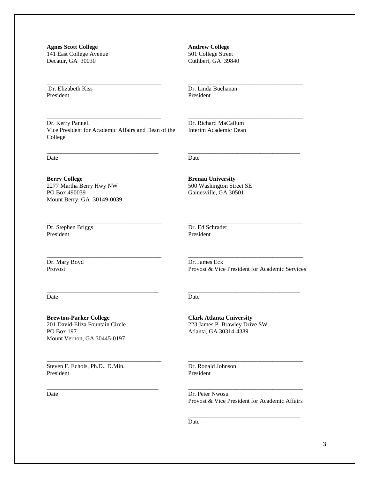**Agnes Scott College** 141 East College Avenue Decatur, GA 30030

Dr. Elizabeth Kiss President

**Andrew College** 501 College Street Cuthbert, GA 39840

Dr. Linda Buchanan President

Dr. Richard MaCallum Interim Academic Dean

\_\_\_\_\_\_\_\_\_\_\_\_\_\_\_\_\_\_\_\_\_\_\_\_\_\_\_\_\_\_\_\_\_\_\_\_\_\_

\_\_\_\_\_\_\_\_\_\_\_\_\_\_\_\_\_\_\_\_\_\_\_\_\_\_\_\_\_\_\_\_\_\_\_\_\_\_

\_\_\_\_\_\_\_\_\_\_\_\_\_\_\_\_\_\_\_\_\_\_\_\_\_\_\_\_\_\_\_\_\_\_\_\_\_

Dr. Kerry Pannell Vice President for Academic Affairs and Dean of the College

\_\_\_\_\_\_\_\_\_\_\_\_\_\_\_\_\_\_\_\_\_\_\_\_\_\_\_\_\_\_\_\_\_\_\_\_\_\_

\_\_\_\_\_\_\_\_\_\_\_\_\_\_\_\_\_\_\_\_\_\_\_\_\_\_\_\_\_\_\_\_\_\_\_\_\_\_

\_\_\_\_\_\_\_\_\_\_\_\_\_\_\_\_\_\_\_\_\_\_\_\_\_\_\_\_\_\_\_\_\_\_\_\_\_

\_\_\_\_\_\_\_\_\_\_\_\_\_\_\_\_\_\_\_\_\_\_\_\_\_\_\_\_\_\_\_\_\_\_\_\_\_\_

\_\_\_\_\_\_\_\_\_\_\_\_\_\_\_\_\_\_\_\_\_\_\_\_\_\_\_\_\_\_\_\_\_\_\_\_\_\_

\_\_\_\_\_\_\_\_\_\_\_\_\_\_\_\_\_\_\_\_\_\_\_\_\_\_\_\_\_\_\_\_\_\_\_\_\_

\_\_\_\_\_\_\_\_\_\_\_\_\_\_\_\_\_\_\_\_\_\_\_\_\_\_\_\_\_\_\_\_\_\_\_\_\_\_

\_\_\_\_\_\_\_\_\_\_\_\_\_\_\_\_\_\_\_\_\_\_\_\_\_\_\_\_\_\_\_\_\_\_\_\_\_

Date

**Berry College** 2277 Martha Berry Hwy NW PO Box 490039 Mount Berry, GA 30149-0039

Dr. Stephen Briggs President

Dr. Ed Schrader President

**Brenau University** 500 Washington Street SE Gainesville, GA 30501

Date

Dr. Mary Boyd Provost

\_\_\_\_\_\_\_\_\_\_\_\_\_\_\_\_\_\_\_\_\_\_\_\_\_\_\_\_\_\_\_\_\_\_\_\_\_\_ Dr. James Eck Provost & Vice President for Academic Services

\_\_\_\_\_\_\_\_\_\_\_\_\_\_\_\_\_\_\_\_\_\_\_\_\_\_\_\_\_\_\_\_\_\_\_\_\_

\_\_\_\_\_\_\_\_\_\_\_\_\_\_\_\_\_\_\_\_\_\_\_\_\_\_\_\_\_\_\_\_\_\_\_\_\_\_

Date

**Brewton-Parker College** 201 David-Eliza Fountain Circle PO Box 197 Mount Vernon, GA 30445-0197

Steven F. Echols, Ph.D., D.Min. President

Date

Date

**Clark Atlanta University** 223 James P. Brawley Drive SW Atlanta, GA 30314-4389

Dr. Ronald Johnson President

\_\_\_\_\_\_\_\_\_\_\_\_\_\_\_\_\_\_\_\_\_\_\_\_\_\_\_\_\_\_\_\_\_\_\_\_\_\_ Dr. Peter Nwosu Provost & Vice President for Academic Affairs

\_\_\_\_\_\_\_\_\_\_\_\_\_\_\_\_\_\_\_\_\_\_\_\_\_\_\_\_\_\_\_\_\_\_\_\_\_

\_\_\_\_\_\_\_\_\_\_\_\_\_\_\_\_\_\_\_\_\_\_\_\_\_\_\_\_\_\_\_\_\_\_\_\_\_\_

Date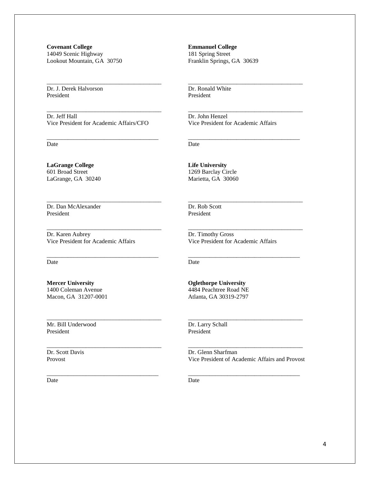**Covenant College** 14049 Scenic Highway Lookout Mountain, GA 30750

Dr. J. Derek Halvorson President

Dr. Jeff Hall Vice President for Academic Affairs/CFO

\_\_\_\_\_\_\_\_\_\_\_\_\_\_\_\_\_\_\_\_\_\_\_\_\_\_\_\_\_\_\_\_\_\_\_\_\_\_

\_\_\_\_\_\_\_\_\_\_\_\_\_\_\_\_\_\_\_\_\_\_\_\_\_\_\_\_\_\_\_\_\_\_\_\_\_\_

\_\_\_\_\_\_\_\_\_\_\_\_\_\_\_\_\_\_\_\_\_\_\_\_\_\_\_\_\_\_\_\_\_\_\_\_\_

\_\_\_\_\_\_\_\_\_\_\_\_\_\_\_\_\_\_\_\_\_\_\_\_\_\_\_\_\_\_\_\_\_\_\_\_\_\_

\_\_\_\_\_\_\_\_\_\_\_\_\_\_\_\_\_\_\_\_\_\_\_\_\_\_\_\_\_\_\_\_\_\_\_\_\_\_

\_\_\_\_\_\_\_\_\_\_\_\_\_\_\_\_\_\_\_\_\_\_\_\_\_\_\_\_\_\_\_\_\_\_\_\_\_

\_\_\_\_\_\_\_\_\_\_\_\_\_\_\_\_\_\_\_\_\_\_\_\_\_\_\_\_\_\_\_\_\_\_\_\_\_\_

\_\_\_\_\_\_\_\_\_\_\_\_\_\_\_\_\_\_\_\_\_\_\_\_\_\_\_\_\_\_\_\_\_\_\_\_\_\_

\_\_\_\_\_\_\_\_\_\_\_\_\_\_\_\_\_\_\_\_\_\_\_\_\_\_\_\_\_\_\_\_\_\_\_\_\_

Date

**LaGrange College** 601 Broad Street LaGrange, GA 30240

Dr. Dan McAlexander President

Dr. Karen Aubrey Vice President for Academic Affairs

Date

**Mercer University** 1400 Coleman Avenue Macon, GA 31207-0001

Mr. Bill Underwood President

Dr. Scott Davis Provost

Date

**Emmanuel College** 181 Spring Street Franklin Springs, GA 30639

Dr. Ronald White President

Dr. John Henzel Vice President for Academic Affairs

\_\_\_\_\_\_\_\_\_\_\_\_\_\_\_\_\_\_\_\_\_\_\_\_\_\_\_\_\_\_\_\_\_\_\_\_\_\_

\_\_\_\_\_\_\_\_\_\_\_\_\_\_\_\_\_\_\_\_\_\_\_\_\_\_\_\_\_\_\_\_\_\_\_\_\_\_

\_\_\_\_\_\_\_\_\_\_\_\_\_\_\_\_\_\_\_\_\_\_\_\_\_\_\_\_\_\_\_\_\_\_\_\_\_

\_\_\_\_\_\_\_\_\_\_\_\_\_\_\_\_\_\_\_\_\_\_\_\_\_\_\_\_\_\_\_\_\_\_\_\_\_\_

\_\_\_\_\_\_\_\_\_\_\_\_\_\_\_\_\_\_\_\_\_\_\_\_\_\_\_\_\_\_\_\_\_\_\_\_\_\_

\_\_\_\_\_\_\_\_\_\_\_\_\_\_\_\_\_\_\_\_\_\_\_\_\_\_\_\_\_\_\_\_\_\_\_\_\_

Date

**Life University** 1269 Barclay Circle Marietta, GA 30060

Dr. Rob Scott President

Dr. Timothy Gross Vice President for Academic Affairs

Date

**Oglethorpe University** 4484 Peachtree Road NE Atlanta, GA 30319-2797

Dr. Larry Schall President

\_\_\_\_\_\_\_\_\_\_\_\_\_\_\_\_\_\_\_\_\_\_\_\_\_\_\_\_\_\_\_\_\_\_\_\_\_\_ Dr. Glenn Sharfman Vice President of Academic Affairs and Provost

\_\_\_\_\_\_\_\_\_\_\_\_\_\_\_\_\_\_\_\_\_\_\_\_\_\_\_\_\_\_\_\_\_\_\_\_\_

\_\_\_\_\_\_\_\_\_\_\_\_\_\_\_\_\_\_\_\_\_\_\_\_\_\_\_\_\_\_\_\_\_\_\_\_\_\_

Date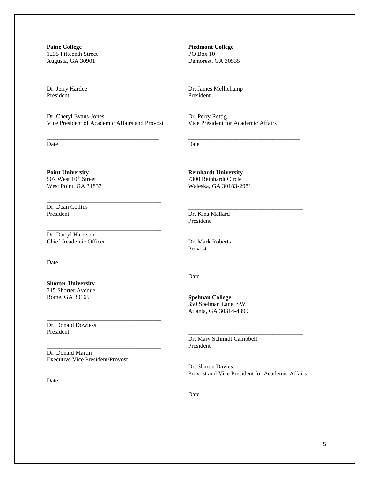**Paine College** 1235 Fifteenth Street Augusta, GA 30901

Dr. Jerry Hardee President

\_\_\_\_\_\_\_\_\_\_\_\_\_\_\_\_\_\_\_\_\_\_\_\_\_\_\_\_\_\_\_\_\_\_\_\_\_\_ Dr. Cheryl Evans-Jones Vice President of Academic Affairs and Provost

\_\_\_\_\_\_\_\_\_\_\_\_\_\_\_\_\_\_\_\_\_\_\_\_\_\_\_\_\_\_\_\_\_\_\_\_\_

\_\_\_\_\_\_\_\_\_\_\_\_\_\_\_\_\_\_\_\_\_\_\_\_\_\_\_\_\_\_\_\_\_\_\_\_\_\_

\_\_\_\_\_\_\_\_\_\_\_\_\_\_\_\_\_\_\_\_\_\_\_\_\_\_\_\_\_\_\_\_\_\_\_\_\_\_

\_\_\_\_\_\_\_\_\_\_\_\_\_\_\_\_\_\_\_\_\_\_\_\_\_\_\_\_\_\_\_\_\_\_\_\_\_

\_\_\_\_\_\_\_\_\_\_\_\_\_\_\_\_\_\_\_\_\_\_\_\_\_\_\_\_\_\_\_\_\_\_\_\_\_\_

\_\_\_\_\_\_\_\_\_\_\_\_\_\_\_\_\_\_\_\_\_\_\_\_\_\_\_\_\_\_\_\_\_\_\_\_\_\_

\_\_\_\_\_\_\_\_\_\_\_\_\_\_\_\_\_\_\_\_\_\_\_\_\_\_\_\_\_\_\_\_\_\_\_\_\_

\_\_\_\_\_\_\_\_\_\_\_\_\_\_\_\_\_\_\_\_\_\_\_\_\_\_\_\_\_\_\_\_\_\_\_\_\_\_

Date

**Piedmont College** PO Box 10 Demorest, GA 30535

Dr. James Mellichamp President

Dr. Perry Rettig Vice President for Academic Affairs

\_\_\_\_\_\_\_\_\_\_\_\_\_\_\_\_\_\_\_\_\_\_\_\_\_\_\_\_\_\_\_\_\_\_\_\_\_\_

\_\_\_\_\_\_\_\_\_\_\_\_\_\_\_\_\_\_\_\_\_\_\_\_\_\_\_\_\_\_\_\_\_\_\_\_\_\_

\_\_\_\_\_\_\_\_\_\_\_\_\_\_\_\_\_\_\_\_\_\_\_\_\_\_\_\_\_\_\_\_\_\_\_\_\_

\_\_\_\_\_\_\_\_\_\_\_\_\_\_\_\_\_\_\_\_\_\_\_\_\_\_\_\_\_\_\_\_\_\_\_\_\_\_

\_\_\_\_\_\_\_\_\_\_\_\_\_\_\_\_\_\_\_\_\_\_\_\_\_\_\_\_\_\_\_\_\_\_\_\_\_\_

\_\_\_\_\_\_\_\_\_\_\_\_\_\_\_\_\_\_\_\_\_\_\_\_\_\_\_\_\_\_\_\_\_\_\_\_\_

Date

**Point University** 507 West 10<sup>th</sup> Street West Point, GA 31833

Dr. Dean Collins President

Dr. Darryl Harrison Chief Academic Officer

Date

**Shorter University** 315 Shorter Avenue Rome, GA 30165

Dr. Donald Dowless President

Dr. Donald Martin Executive Vice President/Provost

Date

**Reinhardt University** 7300 Reinhardt Circle Waleska, GA 30183-2981

Dr. Kina Mallard President

Dr. Mark Roberts Provost

Date

**Spelman College** 350 Spelman Lane, SW Atlanta, GA 30314-4399

Dr. Mary Schmidt Campbell President

\_\_\_\_\_\_\_\_\_\_\_\_\_\_\_\_\_\_\_\_\_\_\_\_\_\_\_\_\_\_\_\_\_\_\_\_\_\_ Dr. Sharon Davies Provost and Vice President for Academic Affairs

\_\_\_\_\_\_\_\_\_\_\_\_\_\_\_\_\_\_\_\_\_\_\_\_\_\_\_\_\_\_\_\_\_\_\_\_\_

\_\_\_\_\_\_\_\_\_\_\_\_\_\_\_\_\_\_\_\_\_\_\_\_\_\_\_\_\_\_\_\_\_\_\_\_\_\_

Date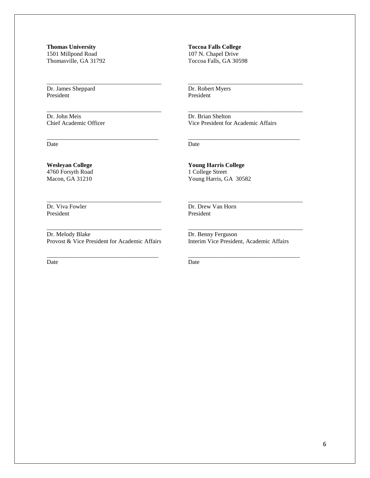**Thomas University** 1501 Millpond Road Thomasville, GA 31792

\_\_\_\_\_\_\_\_\_\_\_\_\_\_\_\_\_\_\_\_\_\_\_\_\_\_\_\_\_\_\_\_\_\_\_\_\_\_

\_\_\_\_\_\_\_\_\_\_\_\_\_\_\_\_\_\_\_\_\_\_\_\_\_\_\_\_\_\_\_\_\_\_\_\_\_\_

\_\_\_\_\_\_\_\_\_\_\_\_\_\_\_\_\_\_\_\_\_\_\_\_\_\_\_\_\_\_\_\_\_\_\_\_\_

\_\_\_\_\_\_\_\_\_\_\_\_\_\_\_\_\_\_\_\_\_\_\_\_\_\_\_\_\_\_\_\_\_\_\_\_\_\_

\_\_\_\_\_\_\_\_\_\_\_\_\_\_\_\_\_\_\_\_\_\_\_\_\_\_\_\_\_\_\_\_\_\_\_\_\_\_

Provost & Vice President for Academic Affairs

Dr. James Sheppard President

Dr. John Meis Chief Academic Officer

**Wesleyan College** 4760 Forsyth Road Macon, GA 31210

Dr. Viva Fowler President

Dr. Melody Blake

Date

**Toccoa Falls College** 107 N. Chapel Drive Toccoa Falls, GA 30598

Dr. Robert Myers President

Dr. Brian Shelton Vice President for Academic Affairs

\_\_\_\_\_\_\_\_\_\_\_\_\_\_\_\_\_\_\_\_\_\_\_\_\_\_\_\_\_\_\_\_\_\_\_\_\_\_

\_\_\_\_\_\_\_\_\_\_\_\_\_\_\_\_\_\_\_\_\_\_\_\_\_\_\_\_\_\_\_\_\_\_\_\_\_\_

\_\_\_\_\_\_\_\_\_\_\_\_\_\_\_\_\_\_\_\_\_\_\_\_\_\_\_\_\_\_\_\_\_\_\_\_\_

\_\_\_\_\_\_\_\_\_\_\_\_\_\_\_\_\_\_\_\_\_\_\_\_\_\_\_\_\_\_\_\_\_\_\_\_\_\_

\_\_\_\_\_\_\_\_\_\_\_\_\_\_\_\_\_\_\_\_\_\_\_\_\_\_\_\_\_\_\_\_\_\_\_\_\_\_

\_\_\_\_\_\_\_\_\_\_\_\_\_\_\_\_\_\_\_\_\_\_\_\_\_\_\_\_\_\_\_\_\_\_\_\_\_

Date

**Young Harris College** 1 College Street Young Harris, GA 30582

Dr. Drew Van Horn President

Dr. Benny Ferguson Interim Vice President, Academic Affairs

Date

\_\_\_\_\_\_\_\_\_\_\_\_\_\_\_\_\_\_\_\_\_\_\_\_\_\_\_\_\_\_\_\_\_\_\_\_\_ Date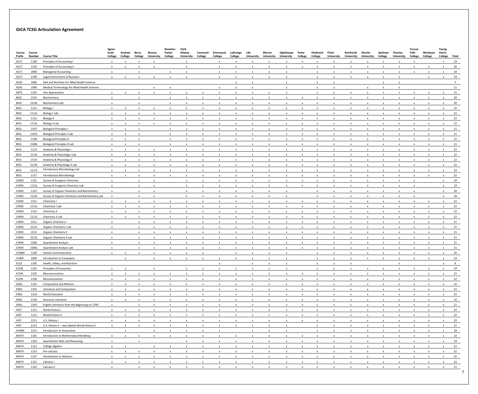## **GICA TCSG Articulation Agreement**

|                  |                  |                                                  | Agnes                     |                   |                  |                                    | Brewton-                  | Clark                        |                           |                           |                           |                           |                             |                                 |                           |                                                        |                            |                                |                              |                           |                             | Toccoa                    |                           | Young                     |    |
|------------------|------------------|--------------------------------------------------|---------------------------|-------------------|------------------|------------------------------------|---------------------------|------------------------------|---------------------------|---------------------------|---------------------------|---------------------------|-----------------------------|---------------------------------|---------------------------|--------------------------------------------------------|----------------------------|--------------------------------|------------------------------|---------------------------|-----------------------------|---------------------------|---------------------------|---------------------------|----|
| Course<br>Prefix | Course<br>Number | <b>Course Title</b>                              | Scott<br>College          | Andrew<br>College | Berry<br>College | <b>Brenau</b><br><b>University</b> | Parker<br>College         | Atlanta<br><b>University</b> | Covenant<br>College       | Emmanuel<br>College       | LaGrange<br>College       | Life<br><b>University</b> | Mercer<br><b>University</b> | Oglethorpe<br><b>University</b> | Paine<br>College          | Piedmont<br>College                                    | Point<br><b>University</b> | Reinhardt<br><b>University</b> | Shorter<br><b>University</b> | Spelman<br>College        | Thomas<br><b>University</b> | Falls<br>College          | Wesleyan<br>College       | Harris<br>College Total   |    |
| ACCT             | 1100             | Principles of Accounting I                       | $\mathsf{x}$              |                   |                  |                                    |                           | x                            |                           | X                         | X                         |                           | X                           | x                               |                           | X                                                      | X                          |                                |                              | x                         |                             | X                         |                           | $\boldsymbol{\mathsf{x}}$ | 19 |
| ACCT             | 1105             | Principles of Accounting II                      | $\mathsf{x}$              |                   | $\mathbf{x}$     | $\mathbf{x}$                       |                           | $\mathbf{x}$                 |                           | $\mathsf{x}$              | $\mathsf{x}$              | $\mathbf{x}$              | $\mathsf{x}$                | $\mathsf{x}$                    | $\boldsymbol{\mathsf{x}}$ | $\mathbf{x}$                                           | $\mathsf{x}$               | $\mathbf{x}$                   |                              | $\mathsf{x}$              | $\mathbf{x}$                | $\mathbf{x}$              | $\mathbf{x}$              | $\boldsymbol{\mathsf{x}}$ | 20 |
| ACCT             | 2000             | <b>Managerial Accounting</b>                     | $\mathsf{x}$              |                   | X                |                                    | $\mathsf{x}$              |                              |                           | $\boldsymbol{\mathsf{x}}$ | X                         |                           | $\mathbf{x}$                | X                               |                           | X                                                      | X                          |                                |                              | $\mathbf{x}$              | x                           | x                         | $\mathsf{x}$              | X                         | 18 |
| ACCT             | 2140             | Legal Environment of Business                    | $\mathsf{x}$              |                   | $\mathsf{x}$     | $\mathsf{x}$                       | $\mathbf{x}$              | $\mathbf{x}$                 |                           | $\mathsf{x}$              |                           |                           |                             | $\mathsf{x}$                    |                           |                                                        | $\mathsf{x}$               |                                |                              | $\mathsf{x}$              | $\mathsf{x}$                |                           | $\mathsf{x}$              |                           | 19 |
| ALHS             | 1060             | Diet and Nutrition for Allied Health Sciences    |                           |                   |                  |                                    |                           |                              |                           |                           | $\mathsf{x}$              | X                         | $\mathbf{x}$                | $\mathsf{x}$                    |                           | $\boldsymbol{\mathsf{x}}$<br>$\boldsymbol{\mathsf{x}}$ |                            |                                |                              | $\times$                  |                             |                           |                           | $\boldsymbol{\mathsf{x}}$ |    |
|                  | 1090             | Medical Terminology for Allied Health Sciences   |                           |                   |                  |                                    |                           |                              |                           |                           |                           |                           |                             |                                 |                           |                                                        |                            |                                |                              |                           |                             |                           |                           |                           |    |
| ALHS             |                  |                                                  |                           |                   |                  | $\mathsf{x}$                       | $\boldsymbol{\mathsf{x}}$ |                              |                           | $\boldsymbol{\mathsf{X}}$ | X                         | $\mathsf{x}$              |                             | X                               |                           | $\mathsf{x}$                                           | $\boldsymbol{\mathsf{x}}$  |                                |                              | $\boldsymbol{\mathsf{x}}$ | $\boldsymbol{\mathsf{x}}$   |                           |                           |                           | 11 |
| ARTS             | 1101             | <b>Arts Appreciation</b>                         | $\mathsf{x}$              |                   |                  | $\mathsf{x}$                       | $\mathsf{x}$              | $\mathsf{x}$                 | $\mathsf{x}$              | $\mathsf{x}$              | $\mathsf{X}$              | X                         | $\mathsf{x}$                | $\mathsf{x}$                    |                           | $\mathsf{x}$                                           | $\boldsymbol{\mathsf{x}}$  |                                | X                            | $\mathsf{x}$              | $\mathsf{x}$                | $\mathsf{x}$              | $\boldsymbol{\mathsf{x}}$ | $\mathbf{x}$              | 21 |
| <b>BIOC</b>      | 2310             | Biochemistry                                     | $\mathsf{x}$              |                   | X                |                                    | $\mathsf{x}$              | $\mathsf{x}$                 | $\boldsymbol{\mathsf{x}}$ | $\boldsymbol{\mathsf{X}}$ | $\mathsf{X}$              | X                         | $\mathsf{x}$                | $\boldsymbol{\mathsf{x}}$       | X.                        | $\mathsf{x}$                                           | $\mathsf{x}$               | X                              | X                            | $\mathsf{x}$              | X                           | X                         | X                         | $\mathsf{x}$              | 20 |
| <b>BIOC</b>      | 2310L            | <b>Biochemistry Lab</b>                          | $\boldsymbol{\mathsf{x}}$ |                   | $\mathbf{x}$     |                                    | $\boldsymbol{\mathsf{x}}$ | $\boldsymbol{\mathsf{x}}$    |                           |                           |                           |                           | X                           | x                               |                           | x                                                      |                            |                                |                              | $\boldsymbol{\mathsf{x}}$ |                             | X                         | x                         | $\mathsf{x}$              | 20 |
| <b>BIOL</b>      | 1111             | Biology I                                        | $\mathsf{x}$              |                   |                  |                                    |                           |                              |                           |                           |                           |                           |                             | X                               |                           |                                                        |                            |                                |                              |                           |                             |                           | $\mathsf{x}$              |                           | 22 |
| BIOL             | 1111L            | Biology I Lab                                    | $\mathsf{x}$              |                   |                  |                                    | X                         | x                            | X                         | X                         | $\boldsymbol{\mathsf{x}}$ |                           | X                           | x                               |                           | X                                                      |                            |                                |                              | x                         |                             | X                         | $\mathsf{x}$              | $\mathsf{x}$              | 22 |
| <b>BIOL</b>      | 1112             | Biology II                                       | $\mathsf{x}$              |                   |                  |                                    | x                         | x                            | X                         | X                         | X                         |                           | X                           | x                               |                           | x                                                      | x                          |                                |                              | x                         |                             | X                         | X                         | $\boldsymbol{\mathsf{x}}$ | 22 |
| <b>BIOL</b>      | 1112L            | Biology II Lab                                   | $\mathsf{x}$              | $\mathbf{x}$      | X                | X                                  | $\mathsf{x}$              | $\mathbf{x}$                 | $\mathsf{x}$              | $\boldsymbol{\mathsf{X}}$ | $\mathsf{x}$              | X                         | $\mathsf{x}$                | $\boldsymbol{\mathsf{x}}$       | X.                        | X                                                      | X                          | X                              | X                            | $\mathsf{x}$              | X                           | X                         | X                         | $\boldsymbol{\mathsf{x}}$ | 22 |
| <b>BIOL</b>      | 2107             | <b>Biological Principles I</b>                   | $\mathsf{x}$              |                   |                  |                                    | $\mathsf{x}$              | $\boldsymbol{\mathsf{x}}$    | $\mathbf{x}$              |                           |                           |                           | $\mathsf{x}$                | $\mathbf{x}$                    |                           | x                                                      |                            |                                |                              |                           |                             | x                         |                           |                           | 21 |
| BIOL             | 2107L            | <b>Biological Principles I Lab</b>               | $\mathsf{x}$              |                   |                  |                                    | $\mathsf{x}$              |                              |                           |                           |                           |                           |                             | X                               |                           |                                                        |                            |                                |                              |                           |                             | x                         | $\mathbf{x}$              |                           | 21 |
| <b>BIOL</b>      | 2108             | <b>Biological Principles II</b>                  | $\mathsf{x}$              |                   |                  |                                    | $\mathsf{x}$              | $\mathsf{x}$                 | $\mathsf{x}$              | $\mathsf{x}$              | $\boldsymbol{\mathsf{x}}$ |                           | $\mathbf{x}$                | $\mathsf{x}$                    | X                         | X                                                      | X.                         | $\mathbf{x}$                   |                              | $\mathbf{x}$              | X                           | X                         | X                         | $\boldsymbol{\mathsf{x}}$ | 21 |
| <b>BIOL</b>      | 2108L            | Biological Principles II Lab                     | $\boldsymbol{\mathsf{x}}$ |                   |                  |                                    | $\mathsf{x}$              | x                            |                           |                           |                           |                           |                             | x                               |                           | x                                                      | X                          |                                |                              | X                         |                             | x                         | X                         | X                         | 21 |
| BIOL             | 2113             | Anatomy & Physiology I                           | $\mathsf{x}$              |                   | X                |                                    | $\mathsf{x}$              | X                            | X                         | X                         | $\mathbf{x}$              | X                         | X                           | $\boldsymbol{\mathsf{x}}$       | X                         | X                                                      | X                          | X                              | X                            | X                         | X                           | X                         | X                         | $\boldsymbol{\mathsf{x}}$ | 22 |
| <b>BIOL</b>      | 2113L            | Anatomy & Physiology I Lab                       | $\mathsf{x}$              |                   |                  |                                    |                           |                              |                           |                           |                           |                           |                             |                                 |                           |                                                        |                            |                                |                              |                           |                             |                           |                           | $\mathsf{x}$              | 22 |
| <b>BIOL</b>      | 2114             | Anatomy & Physiology II                          |                           |                   |                  |                                    |                           |                              |                           |                           |                           |                           |                             | x                               |                           |                                                        |                            |                                |                              |                           |                             |                           |                           |                           | 22 |
| <b>BIOL</b>      | 2114L            | Anatomy & Physiology II Lab                      | $\mathsf{x}$              |                   |                  |                                    | $\mathsf{x}$              | $\mathbf{x}$                 |                           |                           | $\mathsf{x}$              |                           |                             | $\mathbf{x}$                    |                           | $\mathbf{x}$                                           | $\mathsf{x}$               |                                |                              | $\boldsymbol{\mathsf{x}}$ |                             | X                         | $\mathsf{x}$              | $\boldsymbol{\mathsf{x}}$ | 22 |
| BIOL             | 2117L            | Introductory Microbiology Lab                    | $\mathsf{x}$              |                   | X                |                                    | X                         | X                            | $\mathbf{x}$              | $\mathbf{x}$              | $\mathbf{x}$              | X                         | X                           | X                               | X                         | X                                                      | X                          |                                |                              | $\mathsf{x}$              | X                           | X                         | $\mathsf{x}$              | $\boldsymbol{\mathsf{x}}$ | 22 |
| <b>BIOL</b>      | 2117             | <b>Introductory Microbiology</b>                 | $\mathsf{x}$              |                   | X                |                                    | X                         | X                            | X                         | X                         | X                         | X                         | $\mathbf{x}$                | $\mathsf{x}$                    | X                         | X                                                      | X                          |                                |                              | x                         | X                           | X                         | X                         | $\mathsf{x}$              | 22 |
| CHEM             | 1151             | Survey of Inorganic Chemistry                    | $\mathbf{x}$              |                   |                  |                                    |                           |                              |                           |                           |                           |                           |                             |                                 |                           |                                                        |                            |                                |                              |                           |                             |                           |                           | $\mathbf{x}$              | 19 |
| CHEM             | 1151L            | Survey of Inorganic Chemistry Lab                | $\mathsf{x}$              |                   | X                |                                    |                           | $\mathsf{x}$                 | $\mathbf{x}$              | $\mathbf{x}$              | X                         |                           | X                           | x                               |                           | $\boldsymbol{\mathsf{x}}$                              | X                          |                                |                              | x                         |                             | $\boldsymbol{\mathsf{x}}$ |                           | $\boldsymbol{\mathsf{x}}$ | 19 |
| <b>CHEM</b>      | 1152             | Survey of Organic Chemistry and Biochemistry     | $\mathsf{x}$              |                   | $\mathsf{x}$     |                                    |                           | $\mathsf{x}$                 | $\mathsf{x}$              | $\mathsf{x}$              | $\times$                  |                           | $\mathsf{x}$                | $\mathbf{x}$                    |                           | $\mathsf{x}$                                           | $\mathsf{x}$               | $\mathbf{x}$                   | $\mathbf{x}$                 | $\mathsf{x}$              | $\mathbf{x}$                | $\mathsf{x}$              |                           | $\mathsf{x}$              | 18 |
| CHEM             | 1152L            | Survey of Organic Chemistry and Biochemistry Lab | $\boldsymbol{\mathsf{x}}$ |                   | X                | x                                  |                           | $\mathsf{x}$                 | X                         | X                         | $\mathsf{x}$              | X                         | $\mathbf{x}$                | X                               |                           | X                                                      | X                          | X                              | X                            | X                         | X                           | X                         |                           | $\boldsymbol{\mathsf{x}}$ | 18 |
| CHEM             | 1211             | Chemistry I                                      | $\boldsymbol{\mathsf{x}}$ |                   |                  |                                    | $\boldsymbol{\mathsf{x}}$ | $\boldsymbol{\mathsf{x}}$    | X                         | $\mathsf{x}$              | $\mathsf{x}$              |                           | X                           | $\mathsf{x}$                    |                           | x                                                      | x                          |                                |                              | x                         |                             | X                         | $\mathsf{x}$              | $\mathsf{x}$              | 22 |
| CHEM             | 1211L            | Chemistry I Lab                                  | $\mathsf{x}$              |                   |                  |                                    |                           |                              |                           |                           |                           |                           |                             |                                 |                           |                                                        |                            |                                |                              |                           |                             |                           |                           | X                         | 22 |
| CHEM             | 1212             | Chemistry II                                     | $\mathsf{X}$              |                   |                  |                                    | x                         | x                            | X                         |                           |                           |                           |                             | x                               |                           | X                                                      | X                          |                                |                              |                           |                             | X                         | x                         | X                         | 22 |
| CHEM             | 1212L            | Chemistry II Lab                                 | $\mathsf{x}$              |                   |                  |                                    | $\mathsf{x}$              | X                            | $\mathbf{x}$              | $\mathsf{x}$              |                           |                           |                             | $\mathsf{x}$                    |                           | $\boldsymbol{\mathsf{x}}$                              | $\boldsymbol{\mathsf{x}}$  |                                |                              | X                         |                             | $\boldsymbol{\mathsf{x}}$ | $\times$                  | $\boldsymbol{\mathsf{x}}$ | 22 |
| CHEM             | 2211             | Organic Chemistry I                              | $\mathbf{x}$              |                   | $\mathbf{x}$     |                                    | $\mathbf{x}$              | $\mathbf{x}$                 |                           |                           |                           |                           |                             | $\mathbf{x}$                    | $\mathbf{x}$              | $\mathbf{x}$                                           | $\mathbf{x}$               | $\mathbf{x}$                   | $\mathbf{x}$                 | $\mathbf{x}$              | $\mathbf{x}$                | $\mathbf{x}$              | $\mathbf{x}$              | $\mathbf{x}$              | 21 |
| CHEM             | 2211L            | Organic Chemistry I Lab                          | $\mathsf{x}$              |                   | $\mathsf{x}$     | $\mathsf{x}$                       | $\mathbf{x}$              | $\mathsf{x}$                 | $\boldsymbol{\mathsf{x}}$ | $\mathsf{x}$              | $\boldsymbol{\mathsf{x}}$ | $\mathsf{x}$              | $\mathsf{x}$                | $\mathsf{x}$                    | $\mathsf{x}$              | $\mathsf{x}$                                           | $\mathsf{x}$               | $\mathsf{x}$                   | $\mathsf{x}$                 | $\mathsf{x}$              | $\mathsf{x}$                | $\mathsf{x}$              | $\mathsf{x}$              | $\boldsymbol{\mathsf{x}}$ | 21 |
| CHEM             | 2212             | <b>Organic Chemistry II</b>                      | $\mathsf{x}$              |                   | $\mathsf{X}$     |                                    |                           | $\boldsymbol{\mathsf{x}}$    |                           |                           |                           |                           | X                           | $\mathsf{x}$                    |                           | x                                                      |                            |                                |                              |                           |                             | x                         | $\boldsymbol{\mathsf{x}}$ | $\mathbf{x}$              | 21 |
| CHEM             | 2212L            | Organic Chemistry II Lab                         | $\mathsf{x}$              |                   | $\mathsf{x}$     | $\mathsf{x}$                       | $\mathsf{x}$              | $\boldsymbol{\mathsf{x}}$    | $\boldsymbol{\mathsf{x}}$ | $\boldsymbol{\mathsf{x}}$ | $\mathsf{x}$              | $\mathsf{x}$              | $\mathsf{x}$                | X                               | $\mathsf{x}$              | $\boldsymbol{\mathsf{x}}$                              | $\mathsf{x}$               | X                              | $\mathsf{x}$                 | $\times$                  | X                           | $\mathsf{x}$              | $\mathsf{x}$              | $\boldsymbol{\mathsf{x}}$ | 21 |
| CHEM             | 2300             | <b>Quantitative Analysis</b>                     | $\boldsymbol{\mathsf{x}}$ |                   | $\mathsf{x}$     |                                    | $\boldsymbol{\mathsf{x}}$ | X                            | X                         | $\boldsymbol{\mathsf{x}}$ | $\boldsymbol{\mathsf{x}}$ | X                         | $\mathsf{x}$                | X                               | X                         | X                                                      | $\boldsymbol{\mathsf{x}}$  | X                              | X                            | x                         | X                           | X                         | $\mathsf{x}$              | $\mathsf{X}$              | 21 |
| CHEM             | 2300L            | Quantitative Analysis Lab                        | $\mathsf{x}$              |                   | $\mathsf{x}$     | $\mathsf{x}$                       | $\mathsf{X}$              | $\mathbf{x}$                 | $\mathsf{X}$              | $\mathsf{x}$              | $\mathsf{X}$              | $\mathsf{x}$              | $\mathsf{x}$                | $\boldsymbol{\mathsf{x}}$       | $\mathsf{x}$              | $\boldsymbol{\mathsf{x}}$                              | $\mathsf{x}$               | $\mathsf{x}$                   | $\mathbf{x}$                 | $\mathsf{x}$              | $\mathsf{x}$                | $\mathsf{x}$              | $\mathbf{x}$              | $\mathsf{X}$              | 21 |
| COMM             | 1100             | Human Communication                              | $\mathsf{x}$              | $\mathsf{x}$      | $\mathsf{x}$     | $\mathsf{x}$                       | $\mathbf{x}$              | $\mathsf{x}$                 | $\boldsymbol{\mathsf{x}}$ |                           | $\boldsymbol{\mathsf{x}}$ | $\mathsf{x}$              | $\mathsf{x}$                | $\mathsf{x}$                    |                           | $\boldsymbol{\mathsf{x}}$                              | $\mathsf{x}$               | $\mathsf{x}$                   | $\mathbf{x}$                 | $\mathsf{x}$              | $\mathsf{x}$                | $\mathsf{x}$              | $\mathsf{x}$              | $\boldsymbol{\mathsf{x}}$ | 20 |
| COMP             | 1000             | Introduction to Computers                        |                           | $\mathsf{x}$      |                  | $\mathsf{x}$                       | $\mathsf{x}$              | $\mathsf{x}$                 | $\boldsymbol{\mathsf{x}}$ | $\mathsf{x}$              | $\mathsf{x}$              | $\mathsf{X}$              | $\mathsf{x}$                | $\mathsf{x}$                    |                           | $\boldsymbol{\mathsf{x}}$                              | $\boldsymbol{\mathsf{x}}$  |                                |                              | $\boldsymbol{\mathsf{x}}$ | $\mathsf{x}$                | X                         | $\boldsymbol{\mathsf{x}}$ | $\boldsymbol{\mathsf{x}}$ | 19 |
| ECCE             | 1105             | Health, Safety, and Nutrition                    |                           |                   |                  |                                    |                           |                              |                           | $\mathsf{x}$              |                           | X                         | $\mathsf{x}$                | $\boldsymbol{\mathsf{x}}$       |                           | $\mathsf{x}$                                           | $\boldsymbol{\mathsf{x}}$  | $\mathsf{x}$                   |                              |                           | $\mathsf{x}$                |                           |                           | $\boldsymbol{\mathsf{x}}$ | 9  |
| ECON             | 1101             | Principles of Economics                          | $\mathsf{x}$              |                   |                  | $\mathsf{x}$                       |                           | $\mathsf{x}$                 | $\boldsymbol{\mathsf{x}}$ | $\mathsf{x}$              | $\boldsymbol{\mathsf{x}}$ | X                         | $\mathsf{x}$                | X                               |                           | $\mathsf{x}$                                           | $\mathsf{x}$               | X                              | $\boldsymbol{\mathsf{x}}$    | $\boldsymbol{\mathsf{x}}$ | $\mathsf{x}$                | X                         | $\boldsymbol{\mathsf{x}}$ | $\mathsf{X}$              | 19 |
| ECON             | 2105             | Macroeconomics                                   | $\mathsf{x}$              | X                 | $\mathsf{X}$     | $\mathsf{x}$                       | $\mathsf{X}$              | $\mathbf{x}$                 | $\mathsf{X}$              | $\mathsf{X}$              | $\mathbf{x}$              | $\mathsf{x}$              | $\mathsf{x}$                | $\mathsf{x}$                    | $\mathsf{x}$              | $\mathsf{x}$                                           | $\mathsf{x}$               | $\mathsf{x}$                   | $\mathsf{X}$                 | $\mathsf{X}$              | $\mathsf{x}$                | $\mathsf{X}$              | $\mathsf{x}$              | $\mathsf{X}$              | 22 |
| ECON             | 2106             | Microeconomics                                   | $\mathsf{x}$              |                   |                  |                                    | $\boldsymbol{\mathsf{x}}$ | $\mathsf{x}$                 | $\mathbf{x}$              | $\mathsf{x}$              | $\mathbf{x}$              |                           | $\mathsf{x}$                | $\mathsf{x}$                    |                           | $\boldsymbol{\mathsf{x}}$                              | $\boldsymbol{\mathsf{x}}$  |                                |                              | X                         |                             | $\boldsymbol{\mathsf{x}}$ | $\mathsf{x}$              | $\boldsymbol{\mathsf{x}}$ | 22 |
| ENGL             | 1101             | <b>Composition and Rhetoric</b>                  | $\mathsf{X}$              |                   | $\mathsf{x}$     | $\mathsf{x}$                       | $\boldsymbol{\mathsf{x}}$ | X                            | $\boldsymbol{\mathsf{x}}$ | $\mathsf{x}$              | $\boldsymbol{\mathsf{x}}$ | X                         | $\mathsf{x}$                | X                               |                           | $\boldsymbol{\mathsf{x}}$                              | $\mathsf{x}$               |                                | $\mathsf{x}$                 | $\boldsymbol{\mathsf{x}}$ |                             | X                         | $\boldsymbol{\mathsf{x}}$ | $\boldsymbol{\mathsf{x}}$ | 22 |
| ENGL             | 1102             | Literature and Composition                       | $\mathsf{x}$              | $\mathsf{x}$      | $\mathsf{x}$     | $\mathsf{x}$                       | $\mathsf{x}$              | $\mathsf{x}$                 | $\boldsymbol{\mathsf{x}}$ | $\boldsymbol{\mathsf{x}}$ | $\mathsf{x}$              | $\mathsf{x}$              | $\mathsf{x}$                | $\mathsf{x}$                    | $\mathsf{x}$              | $\mathsf{x}$                                           | $\mathsf{x}$               | $\mathsf{x}$                   | $\boldsymbol{\mathsf{x}}$    | $\mathsf{x}$              | $\mathsf{x}$                | $\boldsymbol{\mathsf{x}}$ | $\mathsf{x}$              | $\boldsymbol{\mathsf{x}}$ | 22 |
| ENGL             | 2110             | World Literature                                 | $\mathsf{x}$              |                   | $\mathsf{x}$     | X                                  | $\mathsf{x}$              | $\mathbf{x}$                 | $\boldsymbol{\mathsf{x}}$ | $\boldsymbol{\mathsf{X}}$ | $\mathsf{X}$              | X                         | $\mathbf{x}$                | $\boldsymbol{\mathsf{x}}$       | X.                        | $\mathsf{X}$                                           | $\boldsymbol{\mathsf{x}}$  | X                              | X                            | $\mathsf{X}$              | X                           | $\mathsf{x}$              | $\mathsf{x}$              | $\mathsf{X}$              | 22 |
| ENGL             | 2130             | American Literature                              | $\mathsf{x}$              | X                 | $\mathbf{x}$     | $\mathsf{x}$                       | $\mathbf{x}$              | $\mathsf{X}$                 | $\mathsf{X}$              | $\mathsf{x}$              | $\mathsf{X}$              | $\mathsf{x}$              | $\mathsf{x}$                | $\mathsf{x}$                    | $\mathsf{x}$              | $\mathsf{x}$                                           | $\mathsf{x}$               | $\mathsf{x}$                   | $\mathbf{x}$                 | $\boldsymbol{\mathsf{x}}$ | $\mathsf{x}$                | $\mathsf{x}$              | $\mathsf{x}$              | $\mathsf{X}$              | 22 |
| ENGL             | 2310             | English Literature from the Beginnings to 1700   | $\mathsf{x}$              |                   | $\mathsf{x}$     |                                    | $\boldsymbol{\mathsf{x}}$ | $\mathsf{x}$                 | $\mathsf{x}$              | $\mathsf{x}$              | $\mathbf{x}$              | $\mathsf{x}$              | $\mathsf{x}$                | $\mathsf{x}$                    |                           | $\boldsymbol{\mathsf{x}}$                              | $\boldsymbol{\mathsf{x}}$  |                                |                              | $\boldsymbol{\mathsf{x}}$ |                             | x                         | $\boldsymbol{\mathsf{x}}$ | $\boldsymbol{\mathsf{x}}$ | 21 |
| HIST             | 1111             | World History I                                  | $\mathsf{x}$              |                   | $\mathsf{x}$     | $\mathsf{x}$                       | $\mathsf{x}$              | X                            | $\boldsymbol{\mathsf{x}}$ | $\boldsymbol{\mathsf{x}}$ | $\mathsf{X}$              | $\mathsf{x}$              | $\mathsf{x}$                | $\boldsymbol{\mathsf{x}}$       | $\mathsf{x}$              | $\boldsymbol{\mathsf{x}}$                              | $\mathsf{x}$               | X                              | $\mathsf{x}$                 | $\boldsymbol{\mathsf{x}}$ | $\mathsf{x}$                | $\mathsf{x}$              | $\boldsymbol{\mathsf{x}}$ | $\mathsf{X}$              | 22 |
| HIST             | 1112             | World History II                                 | $\mathsf{x}$              |                   | X                | $\mathsf{x}$                       | $\mathsf{x}$              | $\boldsymbol{\mathsf{x}}$    | $\boldsymbol{\mathsf{x}}$ | $\mathsf{x}$              | $\boldsymbol{\mathsf{x}}$ | $\mathsf{x}$              | $\mathsf{x}$                | $\boldsymbol{\mathsf{x}}$       | $\mathsf{x}$              | $\mathsf{x}$                                           | $\mathsf{x}$               | $\mathsf{x}$                   | $\boldsymbol{\mathsf{x}}$    | $\mathsf{x}$              | X                           | $\mathsf{x}$              | $\mathsf{x}$              | $\mathbf{x}$              | 22 |
| HIST             | 2111             | U.S. History I                                   | $\mathsf{x}$              | $\mathsf{x}$      | $\mathsf{x}$     | $\mathsf{x}$                       | $\mathsf{x}$              | $\mathbf{x}$                 | $\boldsymbol{\mathsf{x}}$ | $\mathsf{x}$              | $\mathbf{x}$              | $\mathsf{x}$              | $\mathsf{x}$                | $\mathsf{x}$                    | $\mathsf{x}$              | $\mathsf{X}$                                           | $\mathsf{x}$               | $\mathsf{x}$                   | $\boldsymbol{\mathsf{x}}$    | $\mathsf{x}$              | $\mathsf{x}$                | $\mathsf{x}$              | $\mathbf{x}$              | $\mathsf{X}$              | 22 |
| HIST             | 2112             | U.S. History II -- was labeled World History II  | $\mathsf{x}$              | $\mathsf{x}$      | $\mathbf{x}$     | $\mathsf{x}$                       | $\mathsf{X}$              | $\mathsf{X}$                 | $\boldsymbol{\mathsf{x}}$ | $\boldsymbol{\mathsf{X}}$ | $\mathsf{X}$              | $\mathsf{x}$              | $\mathsf{x}$                | $\boldsymbol{\mathsf{x}}$       |                           | $\mathsf{x}$                                           | $\boldsymbol{\mathsf{x}}$  | $\mathsf{x}$                   | $\mathbf{x}$                 | $\mathsf{X}$              | $\mathsf{x}$                | $\mathsf{X}$              | $\mathsf{X}$              | $\mathbf{x}$              | 21 |
| HUMN             | 2111             | Introduction to Humanities                       |                           |                   |                  |                                    |                           | X                            |                           |                           |                           |                           |                             | $\boldsymbol{\mathsf{x}}$       |                           | $\boldsymbol{\mathsf{x}}$                              |                            |                                |                              |                           |                             |                           | $\boldsymbol{\mathsf{x}}$ | $\mathsf{x}$              | 18 |
| MATH             | 1101             | Introduction to Mathematical Modeling            | $\mathsf{x}$              | $\mathsf{x}$      | $\mathsf{x}$     |                                    |                           | $\boldsymbol{\mathsf{x}}$    |                           | $\mathsf{x}$              |                           | X                         |                             | X                               | $\boldsymbol{\mathsf{x}}$ | $\boldsymbol{\mathsf{x}}$                              |                            | X                              | $\mathsf{x}$                 |                           | X                           |                           | $\mathsf{x}$              | $\boldsymbol{\mathsf{x}}$ | 22 |
|                  |                  | Quantitative Skills and Reasoning                |                           |                   |                  |                                    | $\boldsymbol{\mathsf{x}}$ |                              | $\boldsymbol{\mathsf{x}}$ |                           | $\boldsymbol{\mathsf{x}}$ |                           | $\mathsf{x}$                |                                 |                           |                                                        | $\mathsf{x}$               |                                |                              | x                         |                             | $\mathsf{x}$              |                           |                           |    |
| MATH             | 1103             |                                                  | $\mathsf{X}$              |                   | $\mathsf{x}$     |                                    |                           | $\mathsf{X}$                 | $\boldsymbol{\mathsf{x}}$ | $\mathsf{x}$              | $\mathsf{x}$              | X                         | $\mathsf{x}$                | $\mathsf{x}$                    | X                         | $\mathsf{x}$                                           | $\mathsf{x}$               | $\mathsf{x}$                   | $\boldsymbol{\mathsf{x}}$    | $\boldsymbol{\mathsf{x}}$ | $\mathsf{x}$                | $\boldsymbol{\mathsf{x}}$ | $\mathsf{x}$              | $\mathbf{x}$              | 19 |
| MATH             | 1111             | College Algebra                                  | $\mathsf{x}$              | $\mathsf{x}$      |                  | $\mathsf{x}$                       | $\mathsf{x}$              | $\mathsf{X}$                 | $\boldsymbol{\mathsf{X}}$ | $\mathsf{X}$              | $\mathsf{X}$              | $\mathsf{x}$              | $\mathsf{x}$                | $\boldsymbol{\mathsf{x}}$       | $\mathsf{x}$              | $\mathsf{x}$                                           | $\mathsf{x}$               | $\mathsf{x}$                   | $\mathbf{x}$                 | $\mathsf{X}$              | $\mathsf{x}$                | $\mathsf{X}$              | $\mathbf{x}$              | $\mathsf{X}$              | 21 |
| MATH             | 1113             | Pre-calculus                                     | $\mathsf{x}$              |                   |                  | $\mathbf{x}$                       | $\mathsf{x}$              | $\mathsf{x}$                 | $\mathsf{x}$              | $\mathbf{x}$              | $\mathsf{x}$              | $\mathbf{x}$              | $\mathsf{x}$                | $\mathsf{x}$                    | $\mathsf{x}$              | $\boldsymbol{\mathsf{x}}$                              | $\mathbf{x}$               | $\mathbf{x}$                   |                              | $\mathsf{x}$              | $\mathsf{x}$                | $\mathsf{x}$              | $\mathbf{x}$              | $\boldsymbol{\mathsf{x}}$ | 22 |
| MATH             | 1127             | Introduction to Statistics                       | $\mathsf{x}$              |                   | $\mathbf{x}$     |                                    | $\mathsf{x}$              | $\mathsf{x}$                 | $\mathbf{x}$              | $\mathsf{x}$              |                           | $\mathsf{x}$              | $\mathbf{x}$                | $\mathsf{x}$                    | $\boldsymbol{\mathsf{x}}$ | $\boldsymbol{\mathsf{x}}$                              | X                          |                                |                              | $\mathsf{x}$              |                             | x                         | $\mathbf{x}$              | $\boldsymbol{\mathsf{x}}$ | 22 |
| MATH             | 1131             | Calculus I                                       | $\mathsf{x}$              | X                 | $\mathsf{x}$     | $\mathsf{x}$                       | $\boldsymbol{\mathsf{x}}$ | $\mathsf{x}$                 | $\boldsymbol{\mathsf{x}}$ | $\boldsymbol{\mathsf{X}}$ | $\boldsymbol{\mathsf{x}}$ | $\mathsf{x}$              | $\mathsf{x}$                | $\mathsf{x}$                    | $\mathsf{x}$              | $\boldsymbol{\mathsf{x}}$                              | $\boldsymbol{\mathsf{x}}$  | X                              | $\mathsf{x}$                 | $\mathsf{x}$              | $\mathsf{x}$                | $\mathsf{x}$              | $\mathsf{x}$              | $\mathsf{X}$              | 22 |
| MATH             | 1132             | Calculus II                                      | $\mathsf{x}$              |                   | X                |                                    | $\mathsf{x}$              |                              |                           |                           |                           |                           |                             | X                               | $\mathsf{x}$              | x                                                      |                            |                                |                              |                           | X                           | $\mathsf{X}$              | X                         | $\mathbf{x}$              | 21 |
|                  |                  |                                                  |                           |                   |                  |                                    |                           |                              |                           |                           |                           |                           |                             |                                 |                           |                                                        |                            |                                |                              |                           |                             |                           |                           |                           | -7 |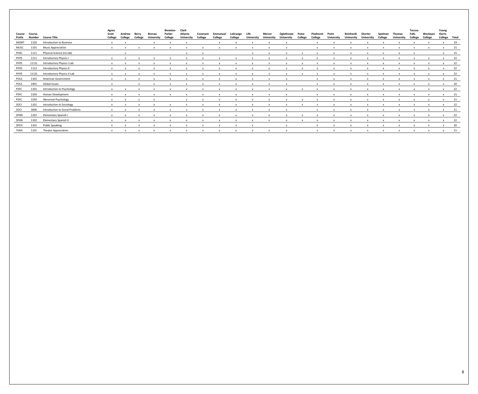|                  |                  |                                 | Agnes            |                   |                  |                             | <b>Brewton-</b>   | Clark                        |                     |                     |                     |                           |                                    |                                 |                  |                     |                            |                                |                       |                    |                             | Toccoa           |                           | Young                   |    |
|------------------|------------------|---------------------------------|------------------|-------------------|------------------|-----------------------------|-------------------|------------------------------|---------------------|---------------------|---------------------|---------------------------|------------------------------------|---------------------------------|------------------|---------------------|----------------------------|--------------------------------|-----------------------|--------------------|-----------------------------|------------------|---------------------------|-------------------------|----|
| Course<br>Prefix | Course<br>Number | Course Title                    | Scott<br>College | Andrew<br>College | Berrv<br>College | Brenau<br><b>University</b> | Parker<br>College | Atlanta<br><b>University</b> | Covenant<br>College | Emmanuel<br>College | LaGrange<br>College | Life<br><b>University</b> | <b>Mercer</b><br><b>University</b> | Oglethorpe<br><b>University</b> | Paine<br>College | Piedmont<br>College | Point<br><b>University</b> | Reinhardt<br><b>University</b> | Shorter<br>University | Spelman<br>College | Thomas<br><b>University</b> | Falls<br>College | Wesleyan<br>College       | Harris<br>College Total |    |
| <b>MGMT</b>      | 1120             | Introduction to Business        |                  |                   |                  |                             |                   |                              |                     |                     |                     |                           |                                    |                                 |                  |                     |                            |                                |                       |                    |                             |                  |                           |                         | 19 |
| MUSC             | 1101             | <b>Music Appreciation</b>       | $\mathbf{x}$     | $\mathbf{x}$      |                  |                             |                   |                              |                     |                     |                     |                           |                                    |                                 |                  |                     |                            |                                |                       |                    |                             |                  |                           |                         | 21 |
| PHSC             | 1111             | Physical Science (no lab)       |                  | $\mathbf{x}$      |                  |                             |                   | $\boldsymbol{\mathsf{x}}$    |                     |                     |                     |                           |                                    |                                 |                  |                     |                            |                                |                       |                    |                             |                  |                           | $\mathsf{x}$            | 15 |
| PHYS             | 1111             | Introductory Physics I          |                  | $\mathbf{x}$      |                  |                             |                   |                              |                     |                     |                     |                           |                                    |                                 |                  |                     |                            |                                |                       |                    |                             | $\mathsf{x}$     | $\mathsf{x}$              | $\mathsf{x}$            | 22 |
| <b>PHYS</b>      | 1111L            | Introductory Physics I Lab      |                  |                   |                  |                             |                   |                              |                     |                     |                     |                           |                                    |                                 |                  |                     |                            |                                |                       |                    |                             |                  |                           | $\mathsf{x}$            | 22 |
| <b>PHYS</b>      | 1112             | Introductory Physics II         |                  |                   |                  |                             |                   |                              |                     |                     |                     |                           |                                    |                                 |                  |                     |                            |                                |                       |                    |                             | $\mathbf{x}$     | $\mathsf{x}$              |                         | 22 |
| <b>PHYS</b>      | 1112L            | Introductory Physics II Lab     |                  |                   |                  |                             |                   |                              |                     |                     |                     |                           |                                    |                                 |                  |                     |                            |                                |                       |                    |                             |                  |                           |                         | 22 |
| POLS             | 1101             | American Government             |                  |                   |                  |                             |                   |                              |                     |                     |                     |                           |                                    |                                 |                  |                     |                            |                                |                       |                    |                             | $\mathsf{x}$     | $\mathbf{x}$              | $\mathsf{x}$            | 21 |
| POLS             | 2401             | Global Issues                   |                  |                   |                  |                             |                   |                              |                     |                     |                     |                           |                                    |                                 |                  |                     |                            |                                |                       |                    |                             |                  |                           |                         | 20 |
| <b>PSYC</b>      | 1101             | Introduction to Psychology      |                  | $\mathbf{x}$      |                  |                             |                   |                              |                     |                     |                     | $\mathbf{x}$              |                                    |                                 |                  |                     |                            |                                |                       |                    |                             | $\mathsf{X}$     | $\mathsf{x}$              | $\mathsf{x}$            | 22 |
| <b>PSYC</b>      | 2103             | Human Development               |                  |                   |                  |                             |                   |                              |                     |                     |                     |                           |                                    |                                 |                  |                     |                            |                                |                       |                    |                             |                  |                           | x 21                    |    |
| <b>PSYC</b>      | 2250             | Abnormal Psychology             |                  |                   |                  |                             |                   |                              |                     |                     |                     |                           |                                    |                                 |                  |                     |                            |                                |                       |                    |                             | $\mathsf{x}$     | X                         | $\mathsf{x}$            | 21 |
| SOCI             | 1101             | Introduction to Sociology       |                  |                   |                  |                             |                   |                              |                     |                     |                     |                           |                                    |                                 |                  |                     |                            |                                |                       |                    |                             |                  | $\mathbf{x}$              | $\mathsf{x}$            | 22 |
| SOCI             | 2600             | Introduction to Social Problems | $\mathbf{x}$     | $\mathbf{x}$      |                  |                             |                   |                              |                     | $\mathbf{x}$        | $\mathbf{x}$        | $\mathbf{x}$              | $\mathbf{x}$                       |                                 |                  |                     |                            |                                | $\mathbf{x}$          | $\mathbf{x}$       | $\mathsf{x}$                | $\mathsf{x}$     | $\mathsf{x}$              | $\mathsf{x}$            | 21 |
| SPAN             | 1101             | Elementary Spanish I            |                  |                   |                  |                             |                   |                              |                     |                     |                     |                           |                                    |                                 |                  |                     |                            |                                |                       |                    |                             |                  |                           |                         | 22 |
| SPAN             | 1102             | Elementary Spanish II           |                  |                   |                  |                             |                   |                              |                     |                     |                     |                           |                                    |                                 |                  |                     |                            |                                |                       |                    | $\mathbf{x}$                | $\mathsf{x}$     | $\mathsf{x}$              | $\mathsf{x}$            | 22 |
| <b>SPCH</b>      | 1101             | <b>Public Speaking</b>          |                  |                   |                  |                             |                   |                              |                     |                     |                     |                           |                                    |                                 |                  |                     |                            |                                |                       |                    |                             | $\mathsf{X}$     | $\mathsf{x}$              | $\mathsf{x}$            | 20 |
| <b>THEA</b>      | 1101             | <b>Theater Appreciation</b>     | $\mathsf{x}$     | $\mathbf{x}$      | $\mathbf{x}$     |                             |                   |                              |                     |                     | $\mathbf{x}$        |                           |                                    |                                 |                  | $\mathsf{x}$        | $\mathbf{x}$               |                                | $\mathbf{x}$          |                    |                             |                  | $\boldsymbol{\mathsf{x}}$ | $\mathbf{x}$            | 21 |